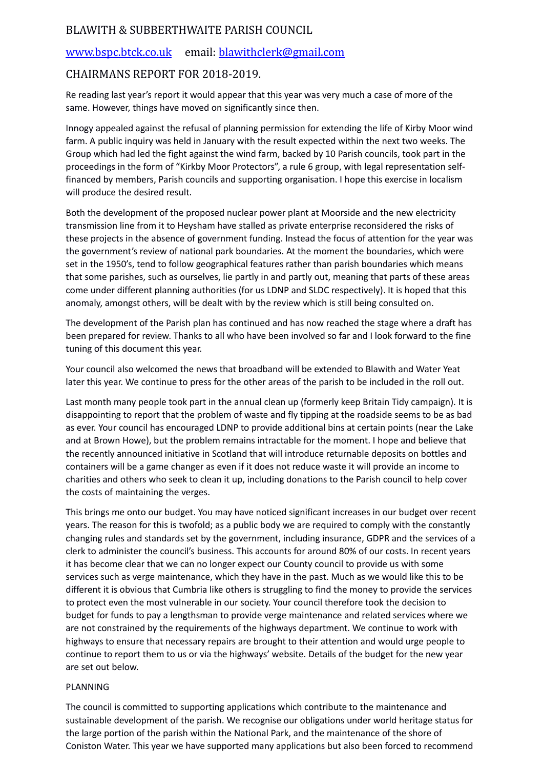## BLAWITH & SUBBERTHWAITE PARISH COUNCIL

# [www.bspc.btck.co.uk](http://www.bspc.btck.co.uk/) email: [blawithclerk@gmail.com](mailto:blawithclerk@gmail.com)

# CHAIRMANS REPORT FOR 2018-2019.

Re reading last year's report it would appear that this year was very much a case of more of the same. However, things have moved on significantly since then.

Innogy appealed against the refusal of planning permission for extending the life of Kirby Moor wind farm. A public inquiry was held in January with the result expected within the next two weeks. The Group which had led the fight against the wind farm, backed by 10 Parish councils, took part in the proceedings in the form of "Kirkby Moor Protectors", a rule 6 group, with legal representation selffinanced by members, Parish councils and supporting organisation. I hope this exercise in localism will produce the desired result.

Both the development of the proposed nuclear power plant at Moorside and the new electricity transmission line from it to Heysham have stalled as private enterprise reconsidered the risks of these projects in the absence of government funding. Instead the focus of attention for the year was the government's review of national park boundaries. At the moment the boundaries, which were set in the 1950's, tend to follow geographical features rather than parish boundaries which means that some parishes, such as ourselves, lie partly in and partly out, meaning that parts of these areas come under different planning authorities (for us LDNP and SLDC respectively). It is hoped that this anomaly, amongst others, will be dealt with by the review which is still being consulted on.

The development of the Parish plan has continued and has now reached the stage where a draft has been prepared for review. Thanks to all who have been involved so far and I look forward to the fine tuning of this document this year.

Your council also welcomed the news that broadband will be extended to Blawith and Water Yeat later this year. We continue to press for the other areas of the parish to be included in the roll out.

Last month many people took part in the annual clean up (formerly keep Britain Tidy campaign). It is disappointing to report that the problem of waste and fly tipping at the roadside seems to be as bad as ever. Your council has encouraged LDNP to provide additional bins at certain points (near the Lake and at Brown Howe), but the problem remains intractable for the moment. I hope and believe that the recently announced initiative in Scotland that will introduce returnable deposits on bottles and containers will be a game changer as even if it does not reduce waste it will provide an income to charities and others who seek to clean it up, including donations to the Parish council to help cover the costs of maintaining the verges.

This brings me onto our budget. You may have noticed significant increases in our budget over recent years. The reason for this is twofold; as a public body we are required to comply with the constantly changing rules and standards set by the government, including insurance, GDPR and the services of a clerk to administer the council's business. This accounts for around 80% of our costs. In recent years it has become clear that we can no longer expect our County council to provide us with some services such as verge maintenance, which they have in the past. Much as we would like this to be different it is obvious that Cumbria like others is struggling to find the money to provide the services to protect even the most vulnerable in our society. Your council therefore took the decision to budget for funds to pay a lengthsman to provide verge maintenance and related services where we are not constrained by the requirements of the highways department. We continue to work with highways to ensure that necessary repairs are brought to their attention and would urge people to continue to report them to us or via the highways' website. Details of the budget for the new year are set out below.

#### PLANNING

The council is committed to supporting applications which contribute to the maintenance and sustainable development of the parish. We recognise our obligations under world heritage status for the large portion of the parish within the National Park, and the maintenance of the shore of Coniston Water. This year we have supported many applications but also been forced to recommend